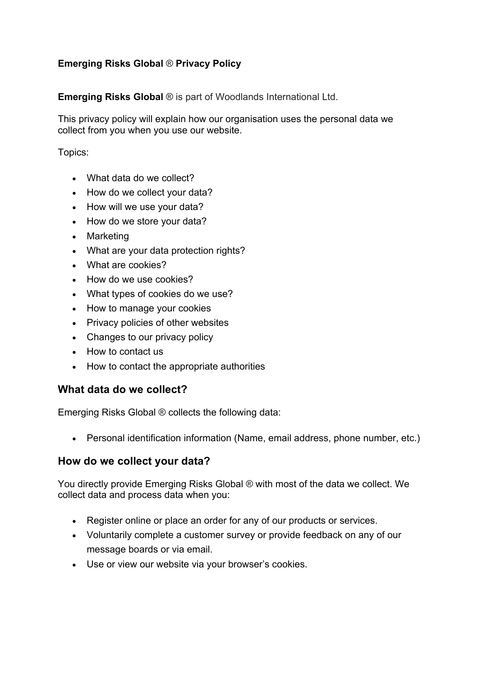## **Emerging Risks Global** ® **Privacy Policy**

**Emerging Risks Global** ® is part of Woodlands International Ltd.

This privacy policy will explain how our organisation uses the personal data we collect from you when you use our website.

Topics:

- What data do we collect?
- How do we collect your data?
- How will we use your data?
- How do we store your data?
- Marketing
- What are your data protection rights?
- What are cookies?
- How do we use cookies?
- What types of cookies do we use?
- How to manage your cookies
- Privacy policies of other websites
- Changes to our privacy policy
- How to contact us
- How to contact the appropriate authorities

### **What data do we collect?**

Emerging Risks Global ® collects the following data:

• Personal identification information (Name, email address, phone number, etc.)

### **How do we collect your data?**

You directly provide Emerging Risks Global ® with most of the data we collect. We collect data and process data when you:

- Register online or place an order for any of our products or services.
- Voluntarily complete a customer survey or provide feedback on any of our message boards or via email.
- Use or view our website via your browser's cookies.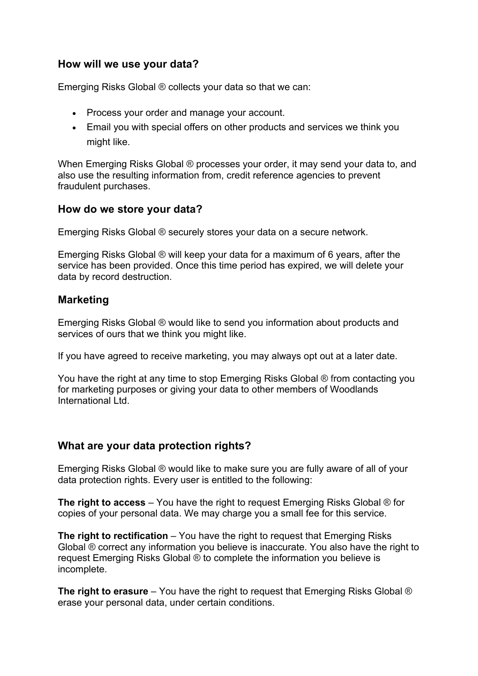## **How will we use your data?**

Emerging Risks Global ® collects your data so that we can:

- Process your order and manage your account.
- Email you with special offers on other products and services we think you might like.

When Emerging Risks Global ® processes your order, it may send your data to, and also use the resulting information from, credit reference agencies to prevent fraudulent purchases.

## **How do we store your data?**

Emerging Risks Global ® securely stores your data on a secure network.

Emerging Risks Global ® will keep your data for a maximum of 6 years, after the service has been provided. Once this time period has expired, we will delete your data by record destruction.

# **Marketing**

Emerging Risks Global ® would like to send you information about products and services of ours that we think you might like.

If you have agreed to receive marketing, you may always opt out at a later date.

You have the right at any time to stop Emerging Risks Global ® from contacting you for marketing purposes or giving your data to other members of Woodlands International Ltd.

### **What are your data protection rights?**

Emerging Risks Global ® would like to make sure you are fully aware of all of your data protection rights. Every user is entitled to the following:

**The right to access** – You have the right to request Emerging Risks Global ® for copies of your personal data. We may charge you a small fee for this service.

**The right to rectification** – You have the right to request that Emerging Risks Global ® correct any information you believe is inaccurate. You also have the right to request Emerging Risks Global ® to complete the information you believe is incomplete.

**The right to erasure** – You have the right to request that Emerging Risks Global ® erase your personal data, under certain conditions.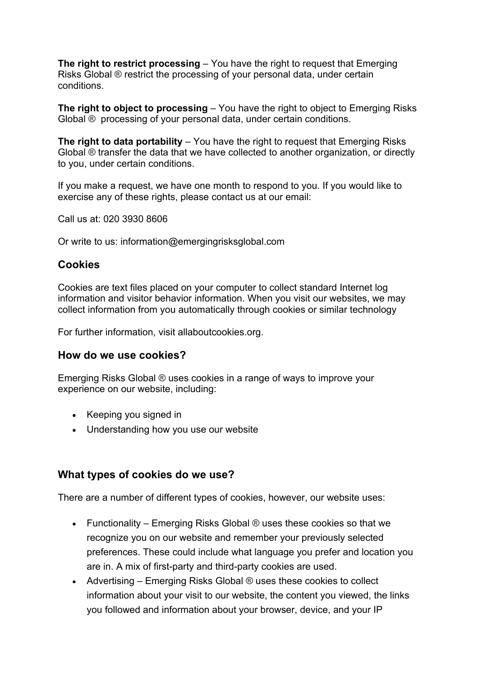**The right to restrict processing** – You have the right to request that Emerging Risks Global ® restrict the processing of your personal data, under certain conditions.

**The right to object to processing** – You have the right to object to Emerging Risks Global ® processing of your personal data, under certain conditions.

**The right to data portability** – You have the right to request that Emerging Risks Global ® transfer the data that we have collected to another organization, or directly to you, under certain conditions.

If you make a request, we have one month to respond to you. If you would like to exercise any of these rights, please contact us at our email:

Call us at: 020 3930 8606

Or write to us: information@emergingrisksglobal.com

#### **Cookies**

Cookies are text files placed on your computer to collect standard Internet log information and visitor behavior information. When you visit our websites, we may collect information from you automatically through cookies or similar technology

For further information, visit allaboutcookies.org.

#### **How do we use cookies?**

Emerging Risks Global ® uses cookies in a range of ways to improve your experience on our website, including:

- Keeping you signed in
- Understanding how you use our website

#### **What types of cookies do we use?**

There are a number of different types of cookies, however, our website uses:

- Functionality Emerging Risks Global  $\circledR$  uses these cookies so that we recognize you on our website and remember your previously selected preferences. These could include what language you prefer and location you are in. A mix of first-party and third-party cookies are used.
- Advertising Emerging Risks Global  $\odot$  uses these cookies to collect information about your visit to our website, the content you viewed, the links you followed and information about your browser, device, and your IP